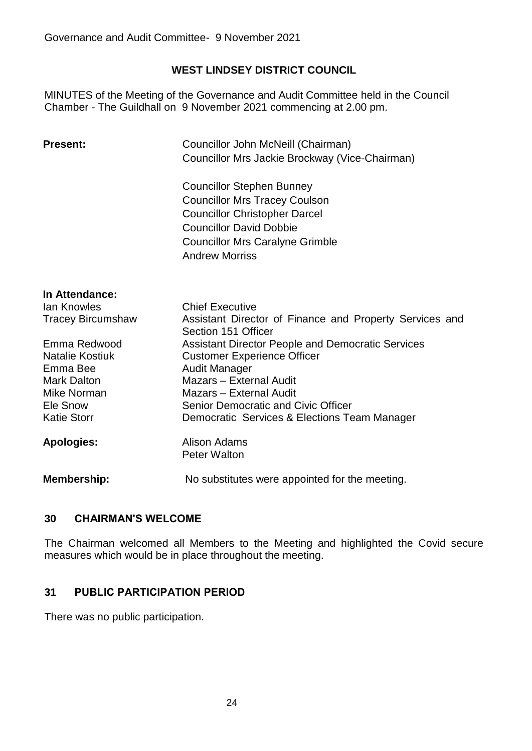# **WEST LINDSEY DISTRICT COUNCIL**

MINUTES of the Meeting of the Governance and Audit Committee held in the Council Chamber - The Guildhall on 9 November 2021 commencing at 2.00 pm.

| <b>Present:</b>    | Councillor John McNeill (Chairman)                                                                                                                                                                                                             |                                    |                                                                                |
|--------------------|------------------------------------------------------------------------------------------------------------------------------------------------------------------------------------------------------------------------------------------------|------------------------------------|--------------------------------------------------------------------------------|
|                    | Councillor Mrs Jackie Brockway (Vice-Chairman)<br><b>Councillor Stephen Bunney</b><br><b>Councillor Mrs Tracey Coulson</b><br><b>Councillor Christopher Darcel</b><br><b>Councillor David Dobbie</b><br><b>Councillor Mrs Caralyne Grimble</b> |                                    |                                                                                |
|                    |                                                                                                                                                                                                                                                | <b>Andrew Morriss</b>              |                                                                                |
|                    |                                                                                                                                                                                                                                                | In Attendance:                     |                                                                                |
|                    |                                                                                                                                                                                                                                                | lan Knowles                        | <b>Chief Executive</b>                                                         |
|                    |                                                                                                                                                                                                                                                | <b>Tracey Bircumshaw</b>           | Assistant Director of Finance and Property Services and<br>Section 151 Officer |
|                    |                                                                                                                                                                                                                                                | Emma Redwood                       | <b>Assistant Director People and Democratic Services</b>                       |
|                    | <b>Natalie Kostiuk</b>                                                                                                                                                                                                                         | <b>Customer Experience Officer</b> |                                                                                |
| Emma Bee           | <b>Audit Manager</b>                                                                                                                                                                                                                           |                                    |                                                                                |
| <b>Mark Dalton</b> | Mazars - External Audit                                                                                                                                                                                                                        |                                    |                                                                                |
| Mike Norman        | Mazars - External Audit                                                                                                                                                                                                                        |                                    |                                                                                |
| Ele Snow           | Senior Democratic and Civic Officer                                                                                                                                                                                                            |                                    |                                                                                |
| <b>Katie Storr</b> | Democratic Services & Elections Team Manager                                                                                                                                                                                                   |                                    |                                                                                |
| <b>Apologies:</b>  | Alison Adams<br><b>Peter Walton</b>                                                                                                                                                                                                            |                                    |                                                                                |
| <b>Membership:</b> | No substitutes were appointed for the meeting.                                                                                                                                                                                                 |                                    |                                                                                |

## **30 CHAIRMAN'S WELCOME**

The Chairman welcomed all Members to the Meeting and highlighted the Covid secure measures which would be in place throughout the meeting.

# **31 PUBLIC PARTICIPATION PERIOD**

There was no public participation.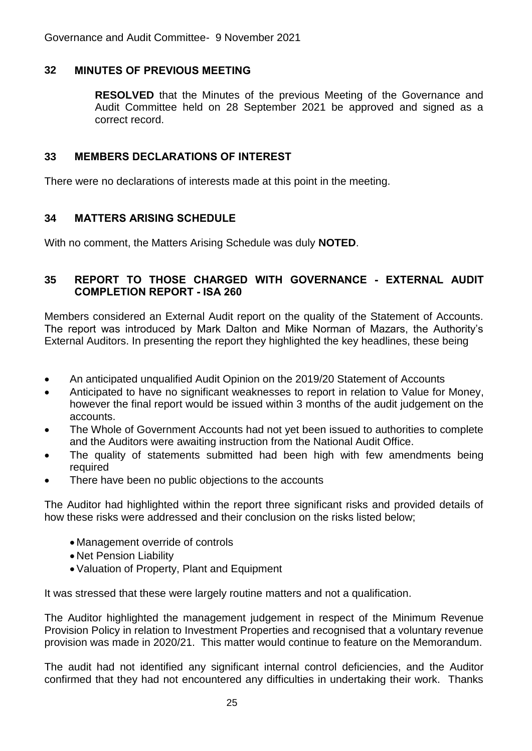## **32 MINUTES OF PREVIOUS MEETING**

**RESOLVED** that the Minutes of the previous Meeting of the Governance and Audit Committee held on 28 September 2021 be approved and signed as a correct record.

#### **33 MEMBERS DECLARATIONS OF INTEREST**

There were no declarations of interests made at this point in the meeting.

## **34 MATTERS ARISING SCHEDULE**

With no comment, the Matters Arising Schedule was duly **NOTED**.

#### **35 REPORT TO THOSE CHARGED WITH GOVERNANCE - EXTERNAL AUDIT COMPLETION REPORT - ISA 260**

Members considered an External Audit report on the quality of the Statement of Accounts. The report was introduced by Mark Dalton and Mike Norman of Mazars, the Authority's External Auditors. In presenting the report they highlighted the key headlines, these being

- An anticipated unqualified Audit Opinion on the 2019/20 Statement of Accounts
- Anticipated to have no significant weaknesses to report in relation to Value for Money, however the final report would be issued within 3 months of the audit judgement on the accounts.
- The Whole of Government Accounts had not yet been issued to authorities to complete and the Auditors were awaiting instruction from the National Audit Office.
- The quality of statements submitted had been high with few amendments being required
- There have been no public objections to the accounts

The Auditor had highlighted within the report three significant risks and provided details of how these risks were addressed and their conclusion on the risks listed below;

- Management override of controls
- Net Pension Liability
- Valuation of Property, Plant and Equipment

It was stressed that these were largely routine matters and not a qualification.

The Auditor highlighted the management judgement in respect of the Minimum Revenue Provision Policy in relation to Investment Properties and recognised that a voluntary revenue provision was made in 2020/21. This matter would continue to feature on the Memorandum.

The audit had not identified any significant internal control deficiencies, and the Auditor confirmed that they had not encountered any difficulties in undertaking their work. Thanks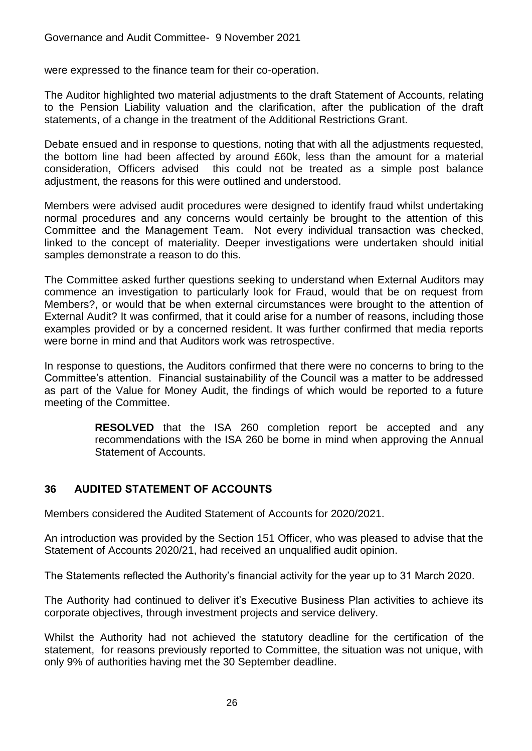were expressed to the finance team for their co-operation.

The Auditor highlighted two material adjustments to the draft Statement of Accounts, relating to the Pension Liability valuation and the clarification, after the publication of the draft statements, of a change in the treatment of the Additional Restrictions Grant.

Debate ensued and in response to questions, noting that with all the adjustments requested, the bottom line had been affected by around £60k, less than the amount for a material consideration, Officers advised this could not be treated as a simple post balance adjustment, the reasons for this were outlined and understood.

Members were advised audit procedures were designed to identify fraud whilst undertaking normal procedures and any concerns would certainly be brought to the attention of this Committee and the Management Team. Not every individual transaction was checked, linked to the concept of materiality. Deeper investigations were undertaken should initial samples demonstrate a reason to do this.

The Committee asked further questions seeking to understand when External Auditors may commence an investigation to particularly look for Fraud, would that be on request from Members?, or would that be when external circumstances were brought to the attention of External Audit? It was confirmed, that it could arise for a number of reasons, including those examples provided or by a concerned resident. It was further confirmed that media reports were borne in mind and that Auditors work was retrospective.

In response to questions, the Auditors confirmed that there were no concerns to bring to the Committee's attention. Financial sustainability of the Council was a matter to be addressed as part of the Value for Money Audit, the findings of which would be reported to a future meeting of the Committee.

> **RESOLVED** that the ISA 260 completion report be accepted and any recommendations with the ISA 260 be borne in mind when approving the Annual Statement of Accounts.

## **36 AUDITED STATEMENT OF ACCOUNTS**

Members considered the Audited Statement of Accounts for 2020/2021.

An introduction was provided by the Section 151 Officer, who was pleased to advise that the Statement of Accounts 2020/21, had received an unqualified audit opinion.

The Statements reflected the Authority's financial activity for the year up to 31 March 2020.

The Authority had continued to deliver it's Executive Business Plan activities to achieve its corporate objectives, through investment projects and service delivery.

Whilst the Authority had not achieved the statutory deadline for the certification of the statement, for reasons previously reported to Committee, the situation was not unique, with only 9% of authorities having met the 30 September deadline.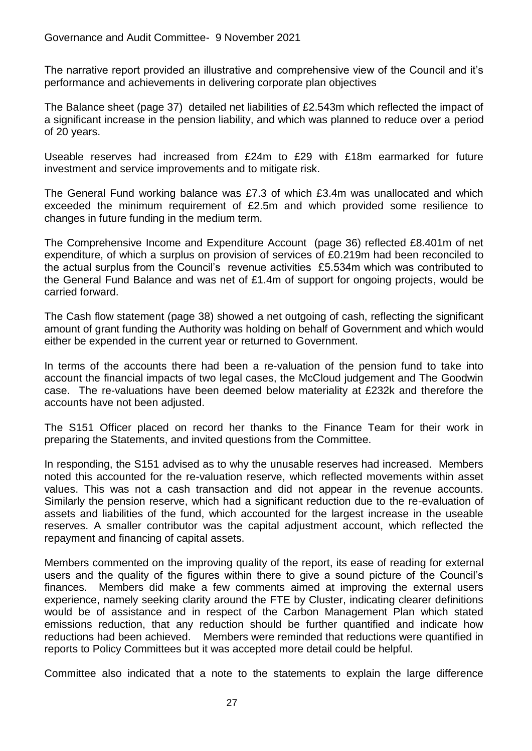The narrative report provided an illustrative and comprehensive view of the Council and it's performance and achievements in delivering corporate plan objectives

The Balance sheet (page 37) detailed net liabilities of £2.543m which reflected the impact of a significant increase in the pension liability, and which was planned to reduce over a period of 20 years.

Useable reserves had increased from £24m to £29 with £18m earmarked for future investment and service improvements and to mitigate risk.

The General Fund working balance was £7.3 of which £3.4m was unallocated and which exceeded the minimum requirement of £2.5m and which provided some resilience to changes in future funding in the medium term.

The Comprehensive Income and Expenditure Account (page 36) reflected £8.401m of net expenditure, of which a surplus on provision of services of £0.219m had been reconciled to the actual surplus from the Council's revenue activities £5.534m which was contributed to the General Fund Balance and was net of £1.4m of support for ongoing projects, would be carried forward.

The Cash flow statement (page 38) showed a net outgoing of cash, reflecting the significant amount of grant funding the Authority was holding on behalf of Government and which would either be expended in the current year or returned to Government.

In terms of the accounts there had been a re-valuation of the pension fund to take into account the financial impacts of two legal cases, the McCloud judgement and The Goodwin case. The re-valuations have been deemed below materiality at £232k and therefore the accounts have not been adjusted.

The S151 Officer placed on record her thanks to the Finance Team for their work in preparing the Statements, and invited questions from the Committee.

In responding, the S151 advised as to why the unusable reserves had increased. Members noted this accounted for the re-valuation reserve, which reflected movements within asset values. This was not a cash transaction and did not appear in the revenue accounts. Similarly the pension reserve, which had a significant reduction due to the re-evaluation of assets and liabilities of the fund, which accounted for the largest increase in the useable reserves. A smaller contributor was the capital adjustment account, which reflected the repayment and financing of capital assets.

Members commented on the improving quality of the report, its ease of reading for external users and the quality of the figures within there to give a sound picture of the Council's finances. Members did make a few comments aimed at improving the external users experience, namely seeking clarity around the FTE by Cluster, indicating clearer definitions would be of assistance and in respect of the Carbon Management Plan which stated emissions reduction, that any reduction should be further quantified and indicate how reductions had been achieved. Members were reminded that reductions were quantified in reports to Policy Committees but it was accepted more detail could be helpful.

Committee also indicated that a note to the statements to explain the large difference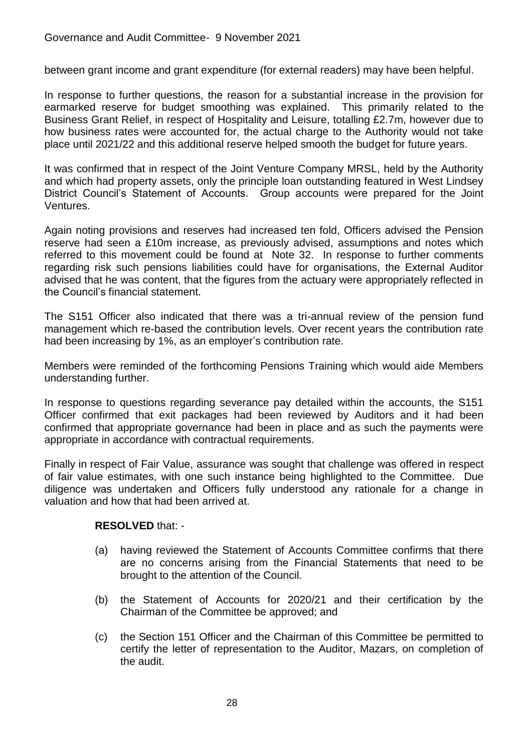between grant income and grant expenditure (for external readers) may have been helpful.

In response to further questions, the reason for a substantial increase in the provision for earmarked reserve for budget smoothing was explained. This primarily related to the Business Grant Relief, in respect of Hospitality and Leisure, totalling £2.7m, however due to how business rates were accounted for, the actual charge to the Authority would not take place until 2021/22 and this additional reserve helped smooth the budget for future years.

It was confirmed that in respect of the Joint Venture Company MRSL, held by the Authority and which had property assets, only the principle loan outstanding featured in West Lindsey District Council's Statement of Accounts. Group accounts were prepared for the Joint Ventures.

Again noting provisions and reserves had increased ten fold, Officers advised the Pension reserve had seen a £10m increase, as previously advised, assumptions and notes which referred to this movement could be found at Note 32. In response to further comments regarding risk such pensions liabilities could have for organisations, the External Auditor advised that he was content, that the figures from the actuary were appropriately reflected in the Council's financial statement.

The S151 Officer also indicated that there was a tri-annual review of the pension fund management which re-based the contribution levels. Over recent years the contribution rate had been increasing by 1%, as an employer's contribution rate.

Members were reminded of the forthcoming Pensions Training which would aide Members understanding further.

In response to questions regarding severance pay detailed within the accounts, the S151 Officer confirmed that exit packages had been reviewed by Auditors and it had been confirmed that appropriate governance had been in place and as such the payments were appropriate in accordance with contractual requirements.

Finally in respect of Fair Value, assurance was sought that challenge was offered in respect of fair value estimates, with one such instance being highlighted to the Committee. Due diligence was undertaken and Officers fully understood any rationale for a change in valuation and how that had been arrived at.

#### **RESOLVED** that: -

- (a) having reviewed the Statement of Accounts Committee confirms that there are no concerns arising from the Financial Statements that need to be brought to the attention of the Council.
- (b) the Statement of Accounts for 2020/21 and their certification by the Chairman of the Committee be approved; and
- (c) the Section 151 Officer and the Chairman of this Committee be permitted to certify the letter of representation to the Auditor, Mazars, on completion of the audit.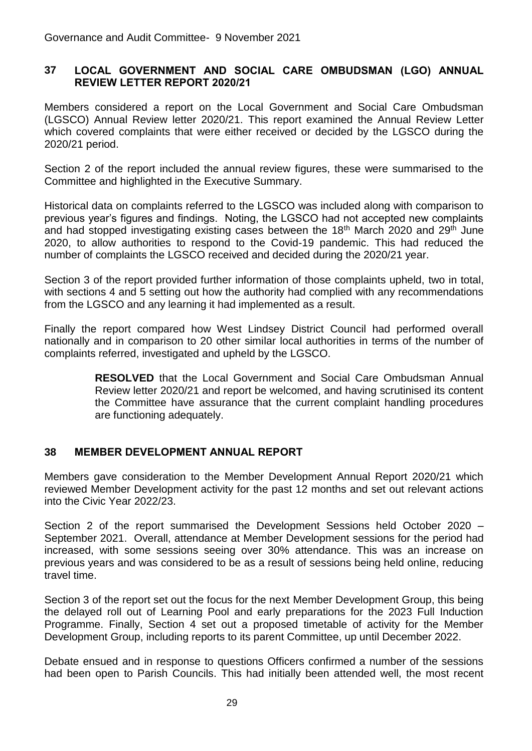#### **37 LOCAL GOVERNMENT AND SOCIAL CARE OMBUDSMAN (LGO) ANNUAL REVIEW LETTER REPORT 2020/21**

Members considered a report on the Local Government and Social Care Ombudsman (LGSCO) Annual Review letter 2020/21. This report examined the Annual Review Letter which covered complaints that were either received or decided by the LGSCO during the 2020/21 period.

Section 2 of the report included the annual review figures, these were summarised to the Committee and highlighted in the Executive Summary.

Historical data on complaints referred to the LGSCO was included along with comparison to previous year's figures and findings. Noting, the LGSCO had not accepted new complaints and had stopped investigating existing cases between the 18<sup>th</sup> March 2020 and 29<sup>th</sup> June 2020, to allow authorities to respond to the Covid-19 pandemic. This had reduced the number of complaints the LGSCO received and decided during the 2020/21 year.

Section 3 of the report provided further information of those complaints upheld, two in total, with sections 4 and 5 setting out how the authority had complied with any recommendations from the LGSCO and any learning it had implemented as a result.

Finally the report compared how West Lindsey District Council had performed overall nationally and in comparison to 20 other similar local authorities in terms of the number of complaints referred, investigated and upheld by the LGSCO.

> **RESOLVED** that the Local Government and Social Care Ombudsman Annual Review letter 2020/21 and report be welcomed, and having scrutinised its content the Committee have assurance that the current complaint handling procedures are functioning adequately.

## **38 MEMBER DEVELOPMENT ANNUAL REPORT**

Members gave consideration to the Member Development Annual Report 2020/21 which reviewed Member Development activity for the past 12 months and set out relevant actions into the Civic Year 2022/23.

Section 2 of the report summarised the Development Sessions held October 2020 – September 2021. Overall, attendance at Member Development sessions for the period had increased, with some sessions seeing over 30% attendance. This was an increase on previous years and was considered to be as a result of sessions being held online, reducing travel time.

Section 3 of the report set out the focus for the next Member Development Group, this being the delayed roll out of Learning Pool and early preparations for the 2023 Full Induction Programme. Finally, Section 4 set out a proposed timetable of activity for the Member Development Group, including reports to its parent Committee, up until December 2022.

Debate ensued and in response to questions Officers confirmed a number of the sessions had been open to Parish Councils. This had initially been attended well, the most recent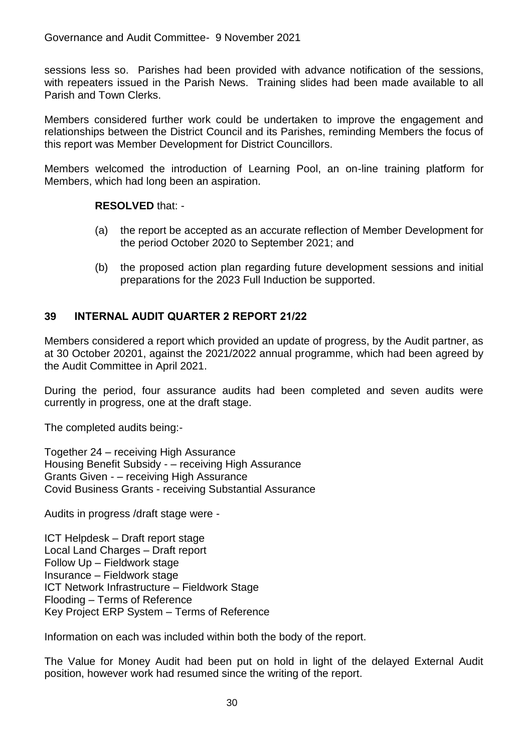sessions less so. Parishes had been provided with advance notification of the sessions, with repeaters issued in the Parish News. Training slides had been made available to all Parish and Town Clerks.

Members considered further work could be undertaken to improve the engagement and relationships between the District Council and its Parishes, reminding Members the focus of this report was Member Development for District Councillors.

Members welcomed the introduction of Learning Pool, an on-line training platform for Members, which had long been an aspiration.

**RESOLVED** that: -

- (a) the report be accepted as an accurate reflection of Member Development for the period October 2020 to September 2021; and
- (b) the proposed action plan regarding future development sessions and initial preparations for the 2023 Full Induction be supported.

# **39 INTERNAL AUDIT QUARTER 2 REPORT 21/22**

Members considered a report which provided an update of progress, by the Audit partner, as at 30 October 20201, against the 2021/2022 annual programme, which had been agreed by the Audit Committee in April 2021.

During the period, four assurance audits had been completed and seven audits were currently in progress, one at the draft stage.

The completed audits being:-

Together 24 – receiving High Assurance Housing Benefit Subsidy - – receiving High Assurance Grants Given - – receiving High Assurance Covid Business Grants - receiving Substantial Assurance

Audits in progress /draft stage were -

ICT Helpdesk – Draft report stage Local Land Charges – Draft report Follow Up – Fieldwork stage Insurance – Fieldwork stage ICT Network Infrastructure – Fieldwork Stage Flooding – Terms of Reference Key Project ERP System – Terms of Reference

Information on each was included within both the body of the report.

The Value for Money Audit had been put on hold in light of the delayed External Audit position, however work had resumed since the writing of the report.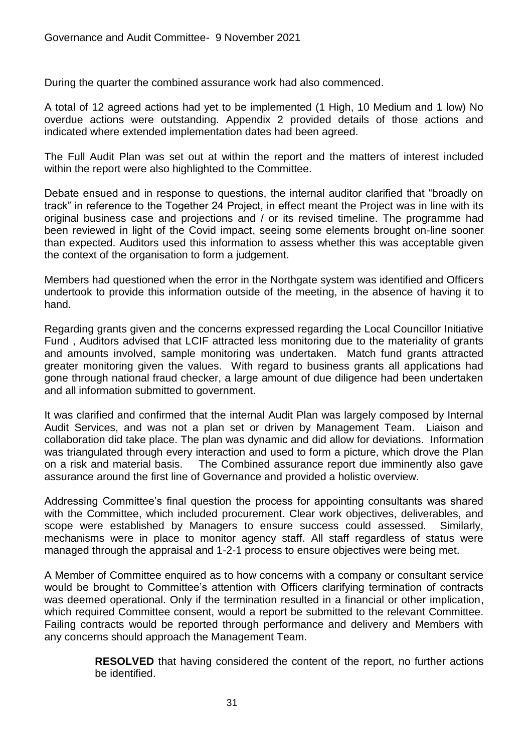During the quarter the combined assurance work had also commenced.

A total of 12 agreed actions had yet to be implemented (1 High, 10 Medium and 1 low) No overdue actions were outstanding. Appendix 2 provided details of those actions and indicated where extended implementation dates had been agreed.

The Full Audit Plan was set out at within the report and the matters of interest included within the report were also highlighted to the Committee.

Debate ensued and in response to questions, the internal auditor clarified that "broadly on track" in reference to the Together 24 Project, in effect meant the Project was in line with its original business case and projections and / or its revised timeline. The programme had been reviewed in light of the Covid impact, seeing some elements brought on-line sooner than expected. Auditors used this information to assess whether this was acceptable given the context of the organisation to form a judgement.

Members had questioned when the error in the Northgate system was identified and Officers undertook to provide this information outside of the meeting, in the absence of having it to hand.

Regarding grants given and the concerns expressed regarding the Local Councillor Initiative Fund , Auditors advised that LCIF attracted less monitoring due to the materiality of grants and amounts involved, sample monitoring was undertaken. Match fund grants attracted greater monitoring given the values. With regard to business grants all applications had gone through national fraud checker, a large amount of due diligence had been undertaken and all information submitted to government.

It was clarified and confirmed that the internal Audit Plan was largely composed by Internal Audit Services, and was not a plan set or driven by Management Team. Liaison and collaboration did take place. The plan was dynamic and did allow for deviations. Information was triangulated through every interaction and used to form a picture, which drove the Plan on a risk and material basis. The Combined assurance report due imminently also gave assurance around the first line of Governance and provided a holistic overview.

Addressing Committee's final question the process for appointing consultants was shared with the Committee, which included procurement. Clear work objectives, deliverables, and scope were established by Managers to ensure success could assessed. Similarly, mechanisms were in place to monitor agency staff. All staff regardless of status were managed through the appraisal and 1-2-1 process to ensure objectives were being met.

A Member of Committee enquired as to how concerns with a company or consultant service would be brought to Committee's attention with Officers clarifying termination of contracts was deemed operational. Only if the termination resulted in a financial or other implication, which required Committee consent, would a report be submitted to the relevant Committee. Failing contracts would be reported through performance and delivery and Members with any concerns should approach the Management Team.

> **RESOLVED** that having considered the content of the report, no further actions be identified.